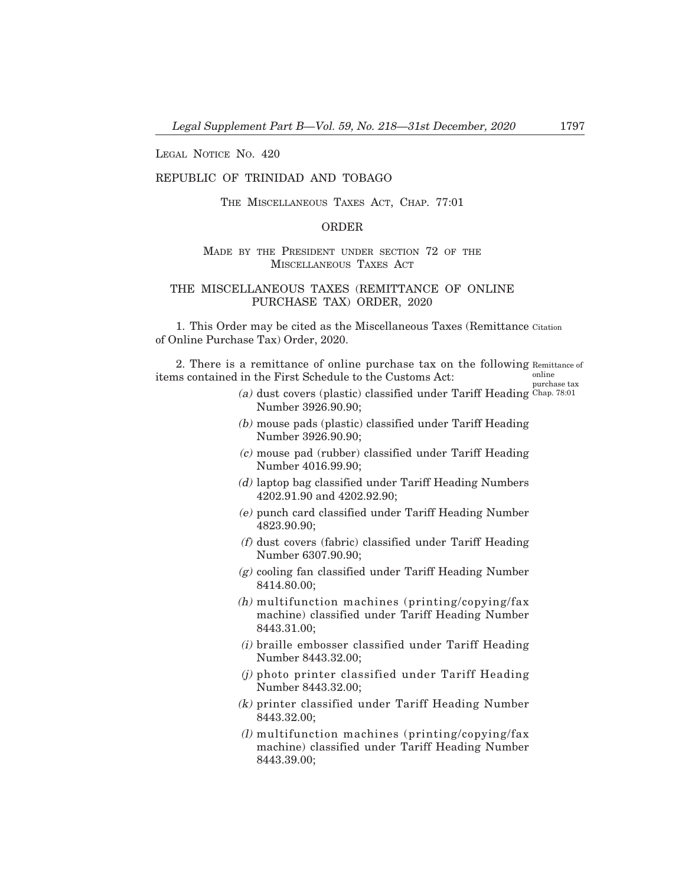LEGAL NOTICE NO. 420

## REPUBLIC OF TRINIDAD AND TOBAGO

THE MISCELLANEOUS TAXES ACT, CHAP. 77:01

## ORDER

## MADE BY THE PRESIDENT UNDER SECTION 72 OF THE MISCELLANEOUS TAXES ACT

## THE MISCELLANEOUS TAXES (REMITTANCE OF ONLINE PURCHASE TAX) ORDER, 2020

1. This Order may be cited as the Miscellaneous Taxes (Remittance Citation of Online Purchase Tax) Order, 2020.

2. There is a remittance of online purchase tax on the following Remittance of items contained in the First Schedule to the Customs Act: online

purchase tax

- (a) dust covers (plastic) classified under Tariff Heading Chap. 78:01Number 3926.90.90;
- (b) mouse pads (plastic) classified under Tariff Heading Number 3926.90.90;
- (c) mouse pad (rubber) classified under Tariff Heading Number 4016.99.90;
- (d) laptop bag classified under Tariff Heading Numbers 4202.91.90 and 4202.92.90;
- (e) punch card classified under Tariff Heading Number 4823.90.90;
- (f) dust covers (fabric) classified under Tariff Heading Number 6307.90.90;
- $(g)$  cooling fan classified under Tariff Heading Number 8414.80.00;
- (h) multifunction machines (printing/copying/fax machine) classified under Tariff Heading Number 8443.31.00;
- (i) braille embosser classified under Tariff Heading Number 8443.32.00;
- (j) photo printer classified under Tariff Heading Number 8443.32.00;
- (k) printer classified under Tariff Heading Number 8443.32.00;
- $(l)$  multifunction machines (printing/copying/fax) machine) classified under Tariff Heading Number 8443.39.00;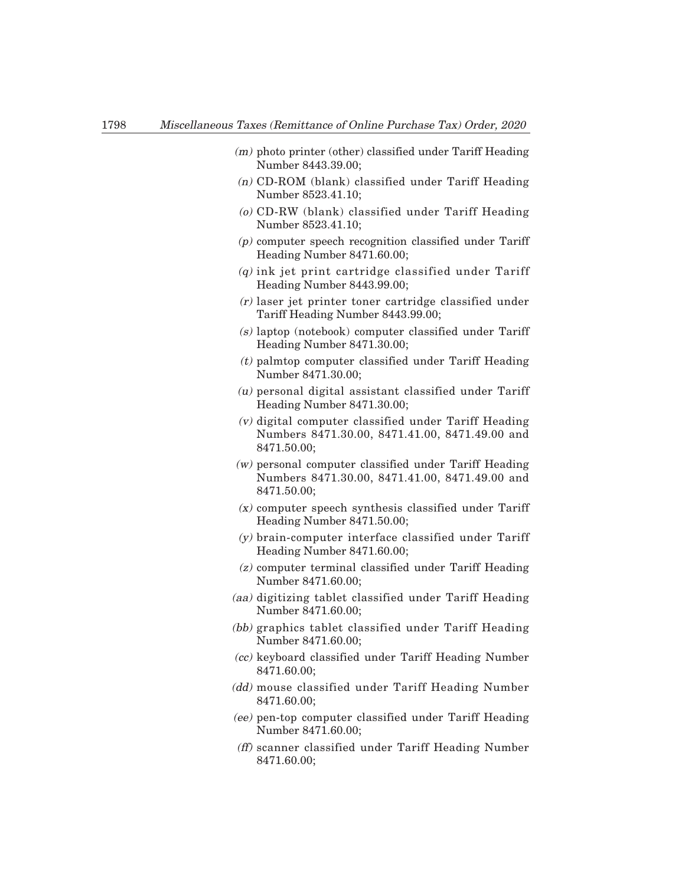- (m) photo printer (other) classified under Tariff Heading Number 8443.39.00;
- (n) CD-ROM (blank) classified under Tariff Heading Number 8523.41.10;
- (o) CD-RW (blank) classified under Tariff Heading Number 8523.41.10;
- (p) computer speech recognition classified under Tariff Heading Number 8471.60.00;
- $(q)$  ink jet print cartridge classified under Tariff Heading Number 8443.99.00;
- (r) laser jet printer toner cartridge classified under Tariff Heading Number 8443.99.00;
- (s) laptop (notebook) computer classified under Tariff Heading Number 8471.30.00;
- $(t)$  palmtop computer classified under Tariff Heading Number 8471.30.00;
- $(u)$  personal digital assistant classified under Tariff Heading Number 8471.30.00;
- (v) digital computer classified under Tariff Heading Numbers 8471.30.00, 8471.41.00, 8471.49.00 and 8471.50.00;
- (w) personal computer classified under Tariff Heading Numbers 8471.30.00, 8471.41.00, 8471.49.00 and 8471.50.00;
- (x) computer speech synthesis classified under Tariff Heading Number 8471.50.00;
- (y) brain-computer interface classified under Tariff Heading Number 8471.60.00;
- (z) computer terminal classified under Tariff Heading Number 8471.60.00;
- (aa) digitizing tablet classified under Tariff Heading Number 8471.60.00;
- (bb) graphics tablet classified under Tariff Heading Number 8471.60.00;
- (cc) keyboard classified under Tariff Heading Number 8471.60.00;
- (dd) mouse classified under Tariff Heading Number 8471.60.00;
- (ee) pen-top computer classified under Tariff Heading Number 8471.60.00;
- (ff) scanner classified under Tariff Heading Number 8471.60.00;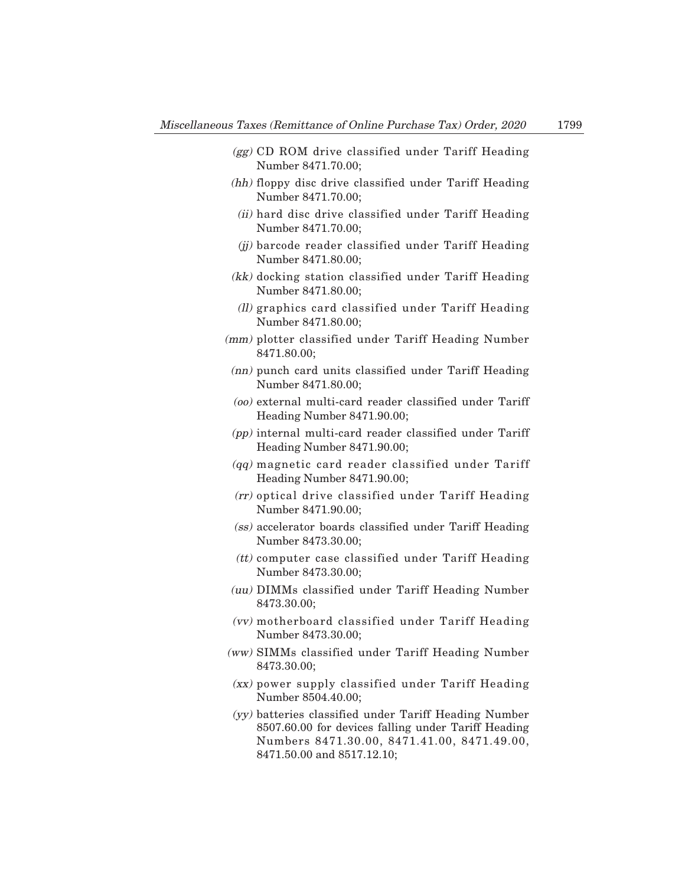- (gg) CD ROM drive classified under Tariff Heading Number 8471.70.00;
- (hh) floppy disc drive classified under Tariff Heading Number 8471.70.00;
- (ii) hard disc drive classified under Tariff Heading Number 8471.70.00;
- (jj) barcode reader classified under Tariff Heading Number 8471.80.00;
- (kk) docking station classified under Tariff Heading Number 8471.80.00;
- (ll) graphics card classified under Tariff Heading Number 8471.80.00;
- (mm) plotter classified under Tariff Heading Number 8471.80.00;
- (nn) punch card units classified under Tariff Heading Number 8471.80.00;
- (oo) external multi-card reader classified under Tariff Heading Number 8471.90.00;
- (pp) internal multi-card reader classified under Tariff Heading Number 8471.90.00;
- (qq) magnetic card reader classified under Tariff Heading Number 8471.90.00;
- (rr) optical drive classified under Tariff Heading Number 8471.90.00;
- (ss) accelerator boards classified under Tariff Heading Number 8473.30.00;
- (tt) computer case classified under Tariff Heading Number 8473.30.00;
- (uu) DIMMs classified under Tariff Heading Number 8473.30.00;
- (vv) motherboard classified under Tariff Heading Number 8473.30.00;
- (ww) SIMMs classified under Tariff Heading Number 8473.30.00;
- (xx) power supply classified under Tariff Heading Number 8504.40.00;
- (yy) batteries classified under Tariff Heading Number 8507.60.00 for devices falling under Tariff Heading Numbers 8471.30.00, 8471.41.00, 8471.49.00, 8471.50.00 and 8517.12.10;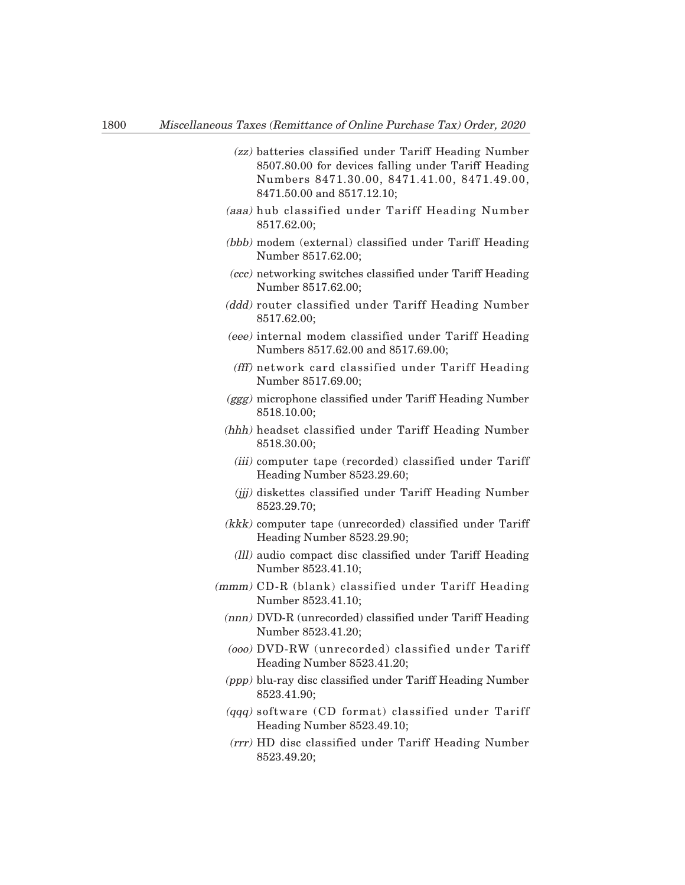- (zz) batteries classified under Tariff Heading Number 8507.80.00 for devices falling under Tariff Heading Numbers 8471.30.00, 8471.41.00, 8471.49.00, 8471.50.00 and 8517.12.10;
- (aaa) hub classified under Tariff Heading Number 8517.62.00;
- (bbb) modem (external) classified under Tariff Heading Number 8517.62.00;
- (ccc) networking switches classified under Tariff Heading Number 8517.62.00;
- (ddd) router classified under Tariff Heading Number 8517.62.00;
- (eee) internal modem classified under Tariff Heading Numbers 8517.62.00 and 8517.69.00;
- (fff) network card classified under Tariff Heading Number 8517.69.00;
- (ggg) microphone classified under Tariff Heading Number 8518.10.00;
- (hhh) headset classified under Tariff Heading Number 8518.30.00;
	- (iii) computer tape (recorded) classified under Tariff Heading Number 8523.29.60;
	- (jjj) diskettes classified under Tariff Heading Number 8523.29.70;
- (kkk) computer tape (unrecorded) classified under Tariff Heading Number 8523.29.90;
	- (lll) audio compact disc classified under Tariff Heading Number 8523.41.10;
- (mmm) CD-R (blank) classified under Tariff Heading Number 8523.41.10;
	- (nnn) DVD-R (unrecorded) classified under Tariff Heading Number 8523.41.20;
	- (ooo) DVD-RW (unrecorded) classified under Tariff Heading Number 8523.41.20;
	- (ppp) blu-ray disc classified under Tariff Heading Number 8523.41.90;
	- (qqq) software (CD format) classified under Tariff Heading Number 8523.49.10;
	- (rrr) HD disc classified under Tariff Heading Number 8523.49.20;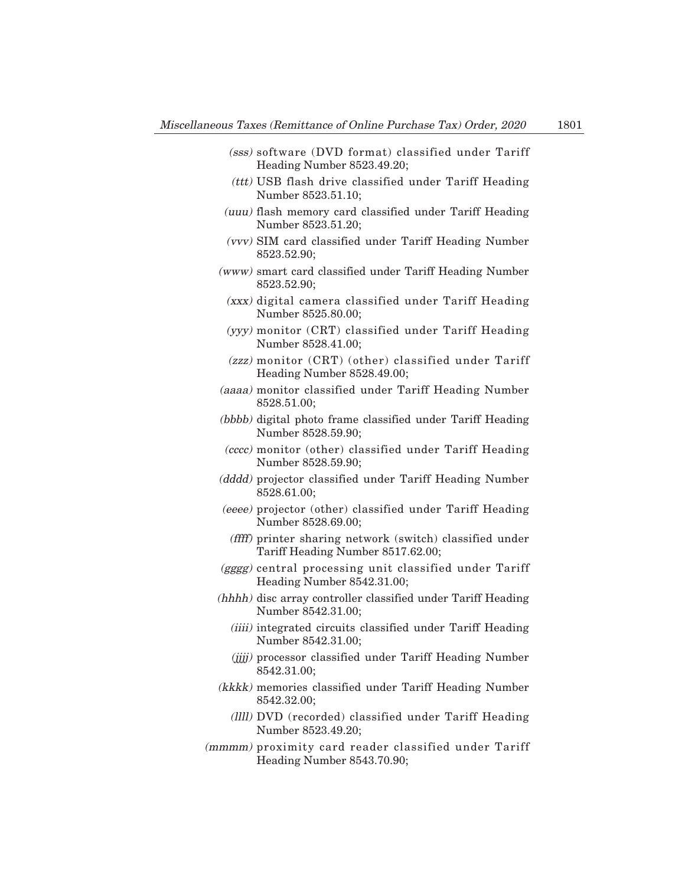- (sss) software (DVD format) classified under Tariff Heading Number 8523.49.20;
- (ttt) USB flash drive classified under Tariff Heading Number 8523.51.10;
- (uuu) flash memory card classified under Tariff Heading Number 8523.51.20;
- (vvv) SIM card classified under Tariff Heading Number 8523.52.90;
- (www) smart card classified under Tariff Heading Number 8523.52.90;
	- (xxx) digital camera classified under Tariff Heading Number 8525.80.00;
	- (yyy) monitor (CRT) classified under Tariff Heading Number 8528.41.00;
	- (zzz) monitor (CRT) (other) classified under Tariff Heading Number 8528.49.00;
- (aaaa) monitor classified under Tariff Heading Number 8528.51.00;
- (bbbb) digital photo frame classified under Tariff Heading Number 8528.59.90;
- (cccc) monitor (other) classified under Tariff Heading Number 8528.59.90;
- (dddd) projector classified under Tariff Heading Number 8528.61.00;
- (eeee) projector (other) classified under Tariff Heading Number 8528.69.00;
	- (ffff) printer sharing network (switch) classified under Tariff Heading Number 8517.62.00;
- (gggg) central processing unit classified under Tariff Heading Number 8542.31.00;
- (hhhh) disc array controller classified under Tariff Heading Number 8542.31.00;
	- (iiii) integrated circuits classified under Tariff Heading Number 8542.31.00;
	- (*jjjj*) processor classified under Tariff Heading Number 8542.31.00;
- (kkkk) memories classified under Tariff Heading Number 8542.32.00;
	- (llll) DVD (recorded) classified under Tariff Heading Number 8523.49.20;
- (mmmm) proximity card reader classified under Tariff Heading Number 8543.70.90;